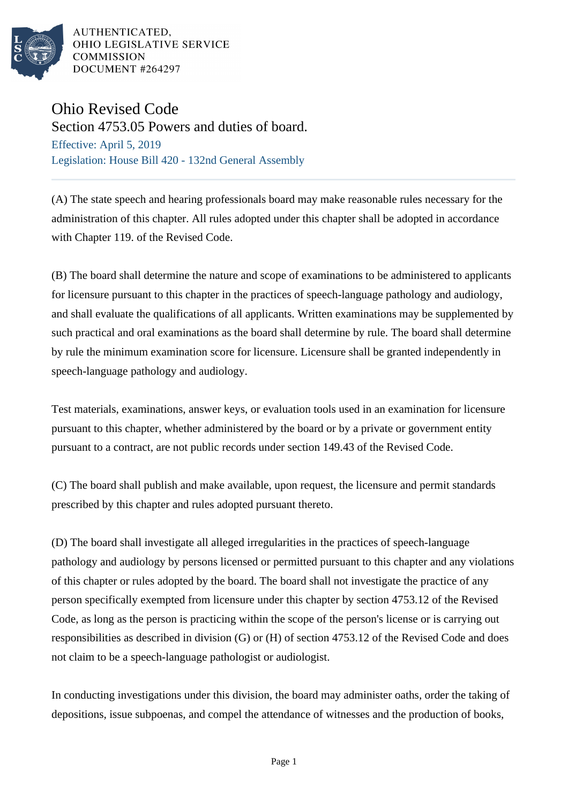

AUTHENTICATED, OHIO LEGISLATIVE SERVICE **COMMISSION** DOCUMENT #264297

## Ohio Revised Code

Section 4753.05 Powers and duties of board. Effective: April 5, 2019 Legislation: House Bill 420 - 132nd General Assembly

(A) The state speech and hearing professionals board may make reasonable rules necessary for the administration of this chapter. All rules adopted under this chapter shall be adopted in accordance with Chapter 119. of the Revised Code.

(B) The board shall determine the nature and scope of examinations to be administered to applicants for licensure pursuant to this chapter in the practices of speech-language pathology and audiology, and shall evaluate the qualifications of all applicants. Written examinations may be supplemented by such practical and oral examinations as the board shall determine by rule. The board shall determine by rule the minimum examination score for licensure. Licensure shall be granted independently in speech-language pathology and audiology.

Test materials, examinations, answer keys, or evaluation tools used in an examination for licensure pursuant to this chapter, whether administered by the board or by a private or government entity pursuant to a contract, are not public records under section 149.43 of the Revised Code.

(C) The board shall publish and make available, upon request, the licensure and permit standards prescribed by this chapter and rules adopted pursuant thereto.

(D) The board shall investigate all alleged irregularities in the practices of speech-language pathology and audiology by persons licensed or permitted pursuant to this chapter and any violations of this chapter or rules adopted by the board. The board shall not investigate the practice of any person specifically exempted from licensure under this chapter by section 4753.12 of the Revised Code, as long as the person is practicing within the scope of the person's license or is carrying out responsibilities as described in division (G) or (H) of section 4753.12 of the Revised Code and does not claim to be a speech-language pathologist or audiologist.

In conducting investigations under this division, the board may administer oaths, order the taking of depositions, issue subpoenas, and compel the attendance of witnesses and the production of books,